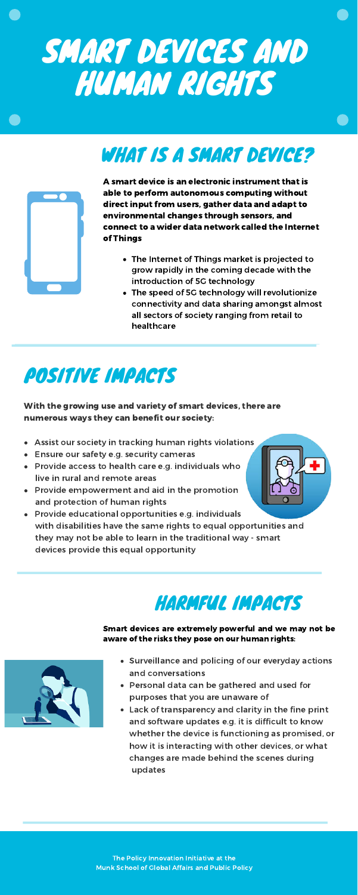- Surveillance and policing of our everyday actions and conversations
- Personal data can be gathered and used for purposes that you are unaware of
- Lack of transparency and clarity in the fine print and software updates e.g. it is difficult to know whether the device is functioning as promised, or how it is interacting with other devices, or what changes are made behind the scenes during updates

## POSITIVE IMPACTS

- Assist our society in tracking human rights violations
- Ensure our safety e.g. security cameras
- Provide access to health care e.g. individuals who live in rural and remote areas
- Provide empowerment and aid in the promotion and protection of human rights
- Provide educational opportunities e.g. individuals with disabilities have the same rights to equal opportunities and

With the growing use and variety of smart devices, there are numerous ways they can benefit our society:

they may not be able to learn in the traditional way - smart devices provide this equal opportunity

# SMART DEVICES AND HUMAN RIGHTS

## WHAT IS A SMART DEVICE?



- The Internet of Things market is projected to grow rapidly in the coming decade with the introduction of 5G technology
- The speed of 5G technology will revolutionize connectivity and data sharing amongst almost all sectors of society ranging from retail to healthcare

A smart device is an electronic instrument that is able to perform autonomous computing without direct input from users, gather data and adapt to environmental changes through sensors, and connect to a wider data network called the Internet of Things



Smart devices are extremely powerful and we may not be aware of the risks they pose on our human rights:



The Policy Innovation Initiative at the Munk School of Global Affairs and Public Policy